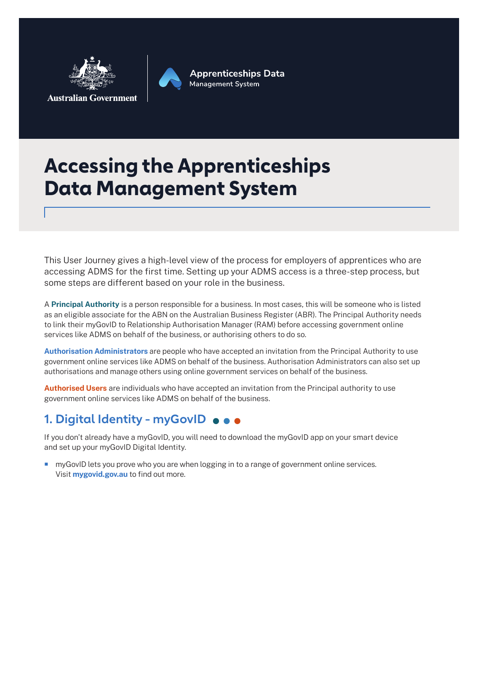

**Apprenticeships Data Management System** 

## **Accessing the Apprenticeships Data Management System**

This User Journey gives a high-level view of the process for employers of apprentices who are accessing ADMS for the first time. Setting up your ADMS access is a three-step process, but some steps are different based on your role in the business.

A **Principal Authority** is a person responsible for a business. In most cases, this will be someone who is listed as an eligible associate for the ABN on the Australian Business Register (ABR). The Principal Authority needs to link their myGovID to Relationship Authorisation Manager (RAM) before accessing government online services like ADMS on behalf of the business, or authorising others to do so.

**Authorisation Administrators** are people who have accepted an invitation from the Principal Authority to use government online services like ADMS on behalf of the business. Authorisation Administrators can also set up authorisations and manage others using online government services on behalf of the business.

**Authorised Users** are individuals who have accepted an invitation from the Principal authority to use government online services like ADMS on behalf of the business.

## **1. Digital Identity - myGovID**

If you don't already have a myGovID, you will need to download the myGovID app on your smart device and set up your myGovID Digital Identity.

**n** myGovID lets you prove who you are when logging in to a range of government online services. Visit **mygovid.gov.au** to find out more.